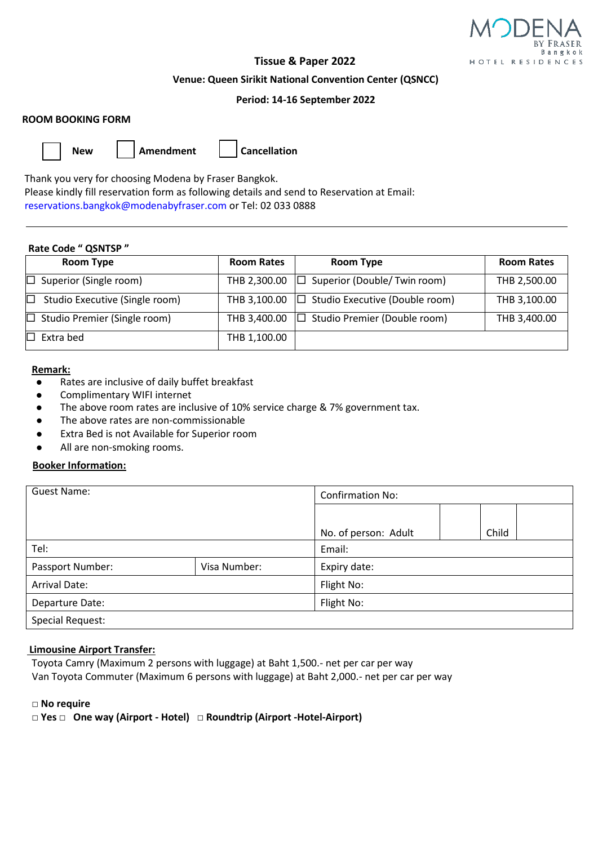

# **Tissue & Paper 2022**

#### **Venue: Queen Sirikit National Convention Center (QSNCC)**

## **Period: 14-16 September 2022**

### **ROOM BOOKING FORM**

**New Amendment Cancellation**

Thank you very for choosing Modena by Fraser Bangkok.

 Please kindly fill reservation form as following details and send to Reservation at Email: reservations.bangkok@modenabyfraser.com or Tel: 02 033 0888

#### **Rate Code " QSNTSP "**

| <b>Room Type</b>                    | <b>Room Rates</b> | <b>Room Type</b>                                 | <b>Room Rates</b> |
|-------------------------------------|-------------------|--------------------------------------------------|-------------------|
| $\Box$ Superior (Single room)       | THB 2,300.00      | $\Box$ Superior (Double/Twin room)               | THB 2,500.00      |
| Studio Executive (Single room)      | THB 3,100.00      | $\Box$ Studio Executive (Double room)            | THB 3,100.00      |
| $\Box$ Studio Premier (Single room) |                   | THB 3,400.00 $\Box$ Studio Premier (Double room) | THB 3,400.00      |
| $\Box~$ Extra bed                   | THB 1,100.00      |                                                  |                   |

### **Remark:**

- ⚫ Rates are inclusive of daily buffet breakfast
- ⚫ Complimentary WIFI internet
- The above room rates are inclusive of 10% service charge & 7% government tax.
- ⚫ The above rates are non-commissionable
- ⚫ Extra Bed is not Available for Superior room
- ⚫ All are non-smoking rooms.

## **Booker Information:**

| Guest Name:          |              | <b>Confirmation No:</b> |       |  |  |
|----------------------|--------------|-------------------------|-------|--|--|
|                      |              |                         |       |  |  |
|                      |              | No. of person: Adult    | Child |  |  |
| Tel:                 |              | Email:                  |       |  |  |
| Passport Number:     | Visa Number: | Expiry date:            |       |  |  |
| <b>Arrival Date:</b> |              | Flight No:              |       |  |  |
| Departure Date:      |              | Flight No:              |       |  |  |
| Special Request:     |              |                         |       |  |  |

#### **Limousine Airport Transfer:**

Toyota Camry (Maximum 2 persons with luggage) at Baht 1,500.- net per car per way Van Toyota Commuter (Maximum 6 persons with luggage) at Baht 2,000.- net per car per way

#### **□ No require**

 **□ Yes □ One way (Airport - Hotel) □ Roundtrip (Airport -Hotel-Airport)**